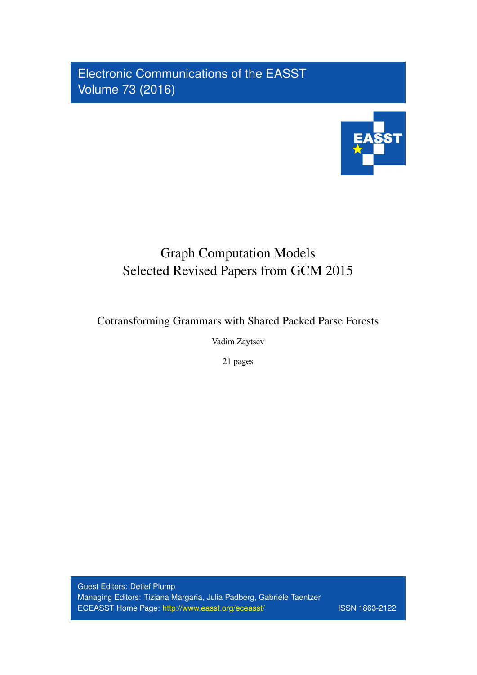Electronic Communications of the EASST Volume 73 (2016)



# Graph Computation Models Selected Revised Papers from GCM 2015

Cotransforming Grammars with Shared Packed Parse Forests

Vadim Zaytsev

21 pages

Guest Editors: Detlef Plump Managing Editors: Tiziana Margaria, Julia Padberg, Gabriele Taentzer ECEASST Home Page: <http://www.easst.org/eceasst/> ISSN 1863-2122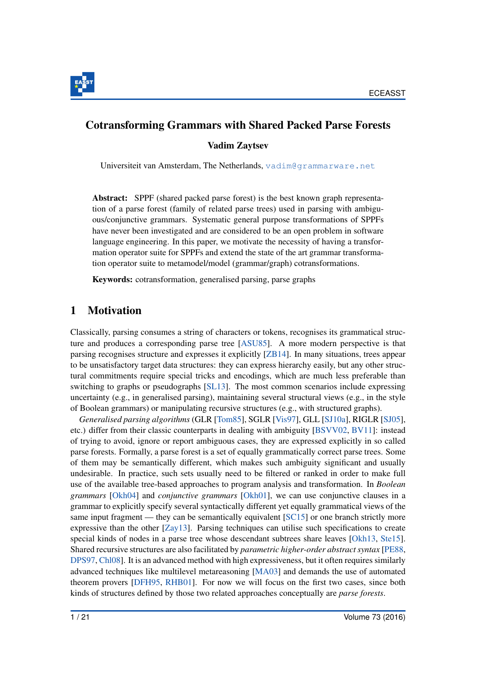

# Cotransforming Grammars with Shared Packed Parse Forests

Vadim Zaytsev

Universiteit van Amsterdam, The Netherlands, [vadim@grammarware.net](mailto:vadim@grammarware.net)

Abstract: SPPF (shared packed parse forest) is the best known graph representation of a parse forest (family of related parse trees) used in parsing with ambiguous/conjunctive grammars. Systematic general purpose transformations of SPPFs have never been investigated and are considered to be an open problem in software language engineering. In this paper, we motivate the necessity of having a transformation operator suite for SPPFs and extend the state of the art grammar transformation operator suite to metamodel/model (grammar/graph) cotransformations.

Keywords: cotransformation, generalised parsing, parse graphs

# 1 Motivation

Classically, parsing consumes a string of characters or tokens, recognises its grammatical structure and produces a corresponding parse tree [\[ASU85\]](#page-18-0). A more modern perspective is that parsing recognises structure and expresses it explicitly [\[ZB14\]](#page-21-0). In many situations, trees appear to be unsatisfactory target data structures: they can express hierarchy easily, but any other structural commitments require special tricks and encodings, which are much less preferable than switching to graphs or pseudographs [\[SL13\]](#page-21-1). The most common scenarios include expressing uncertainty (e.g., in generalised parsing), maintaining several structural views (e.g., in the style of Boolean grammars) or manipulating recursive structures (e.g., with structured graphs).

*Generalised parsing algorithms* (GLR [\[Tom85\]](#page-21-2), SGLR [\[Vis97\]](#page-21-3), GLL [\[SJ10a\]](#page-21-4), RIGLR [\[SJ05\]](#page-21-5), etc.) differ from their classic counterparts in dealing with ambiguity [\[BSVV02,](#page-18-1) [BV11\]](#page-18-2): instead of trying to avoid, ignore or report ambiguous cases, they are expressed explicitly in so called parse forests. Formally, a parse forest is a set of equally grammatically correct parse trees. Some of them may be semantically different, which makes such ambiguity significant and usually undesirable. In practice, such sets usually need to be filtered or ranked in order to make full use of the available tree-based approaches to program analysis and transformation. In *Boolean grammars* [\[Okh04\]](#page-20-0) and *conjunctive grammars* [\[Okh01\]](#page-20-1), we can use conjunctive clauses in a grammar to explicitly specify several syntactically different yet equally grammatical views of the same input fragment — they can be semantically equivalent [\[SC15\]](#page-21-6) or one branch strictly more expressive than the other [\[Zay13\]](#page-21-7). Parsing techniques can utilise such specifications to create special kinds of nodes in a parse tree whose descendant subtrees share leaves [\[Okh13,](#page-20-2) [Ste15\]](#page-21-8). Shared recursive structures are also facilitated by *parametric higher-order abstract syntax* [\[PE88,](#page-20-3) [DPS97,](#page-19-0) [Chl08\]](#page-18-3). It is an advanced method with high expressiveness, but it often requires similarly advanced techniques like multilevel metareasoning [\[MA03\]](#page-20-4) and demands the use of automated theorem provers [\[DFH95,](#page-19-1) [RHB01\]](#page-21-9). For now we will focus on the first two cases, since both kinds of structures defined by those two related approaches conceptually are *parse forests*.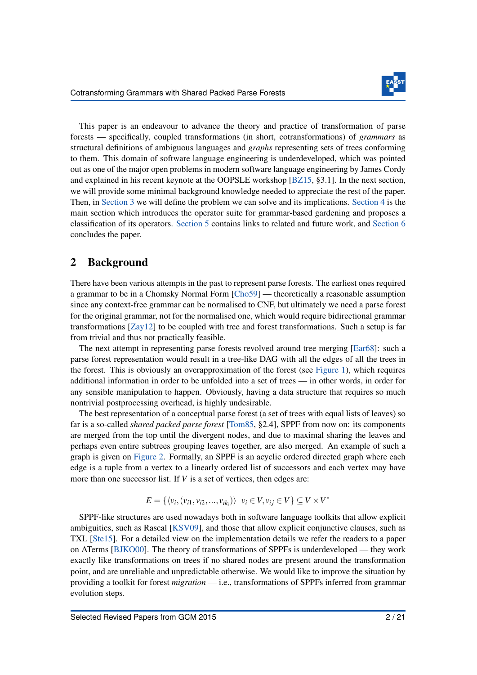

This paper is an endeavour to advance the theory and practice of transformation of parse forests — specifically, coupled transformations (in short, cotransformations) of *grammars* as structural definitions of ambiguous languages and *graphs* representing sets of trees conforming to them. This domain of software language engineering is underdeveloped, which was pointed out as one of the major open problems in modern software language engineering by James Cordy and explained in his recent keynote at the OOPSLE workshop [\[BZ15,](#page-18-4) §3.1]. In the next section, we will provide some minimal background knowledge needed to appreciate the rest of the paper. Then, in [Section 3](#page-3-0) we will define the problem we can solve and its implications. [Section 4](#page-7-0) is the main section which introduces the operator suite for grammar-based gardening and proposes a classification of its operators. [Section 5](#page-15-0) contains links to related and future work, and [Section 6](#page-17-0) concludes the paper.

# 2 Background

There have been various attempts in the past to represent parse forests. The earliest ones required a grammar to be in a Chomsky Normal Form [\[Cho59\]](#page-18-5) — theoretically a reasonable assumption since any context-free grammar can be normalised to CNF, but ultimately we need a parse forest for the original grammar, not for the normalised one, which would require bidirectional grammar transformations [\[Zay12\]](#page-21-10) to be coupled with tree and forest transformations. Such a setup is far from trivial and thus not practically feasible.

The next attempt in representing parse forests revolved around tree merging [\[Ear68\]](#page-19-2): such a parse forest representation would result in a tree-like DAG with all the edges of all the trees in the forest. This is obviously an overapproximation of the forest (see [Figure 1\)](#page-3-1), which requires additional information in order to be unfolded into a set of trees — in other words, in order for any sensible manipulation to happen. Obviously, having a data structure that requires so much nontrivial postprocessing overhead, is highly undesirable.

The best representation of a conceptual parse forest (a set of trees with equal lists of leaves) so far is a so-called *shared packed parse forest* [\[Tom85,](#page-21-2) §2.4], SPPF from now on: its components are merged from the top until the divergent nodes, and due to maximal sharing the leaves and perhaps even entire subtrees grouping leaves together, are also merged. An example of such a graph is given on [Figure 2.](#page-4-0) Formally, an SPPF is an acyclic ordered directed graph where each edge is a tuple from a vertex to a linearly ordered list of successors and each vertex may have more than one successor list. If *V* is a set of vertices, then edges are:

$$
E = \{ \langle v_i, (v_{i1}, v_{i2}, \dots, v_{ik_i}) \rangle \mid v_i \in V, v_{ij} \in V \} \subseteq V \times V^*
$$

SPPF-like structures are used nowadays both in software language toolkits that allow explicit ambiguities, such as Rascal [\[KSV09\]](#page-19-3), and those that allow explicit conjunctive clauses, such as TXL [\[Ste15\]](#page-21-8). For a detailed view on the implementation details we refer the readers to a paper on ATerms [\[BJKO00\]](#page-18-6). The theory of transformations of SPPFs is underdeveloped — they work exactly like transformations on trees if no shared nodes are present around the transformation point, and are unreliable and unpredictable otherwise. We would like to improve the situation by providing a toolkit for forest *migration* — i.e., transformations of SPPFs inferred from grammar evolution steps.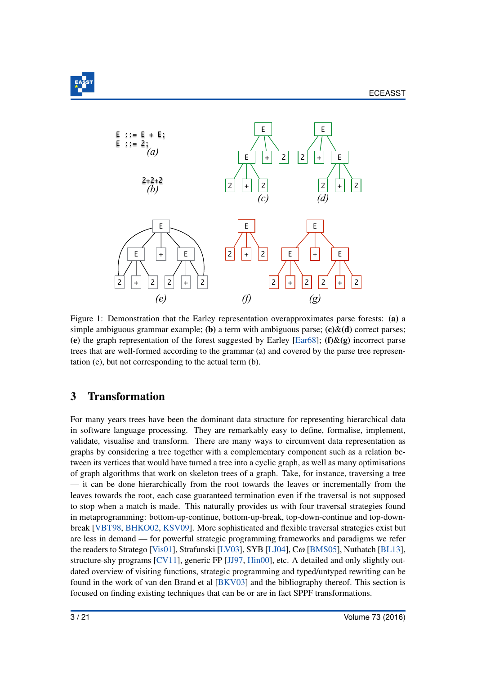

<span id="page-3-1"></span>

Figure 1: Demonstration that the Earley representation overapproximates parse forests: (a) a simple ambiguous grammar example; (b) a term with ambiguous parse;  $(c)$ &(d) correct parses; (e) the graph representation of the forest suggested by Earley [\[Ear68\]](#page-19-2); (f)&(g) incorrect parse trees that are well-formed according to the grammar (a) and covered by the parse tree representation (e), but not corresponding to the actual term (b).

# <span id="page-3-0"></span>3 Transformation

For many years trees have been the dominant data structure for representing hierarchical data in software language processing. They are remarkably easy to define, formalise, implement, validate, visualise and transform. There are many ways to circumvent data representation as graphs by considering a tree together with a complementary component such as a relation between its vertices that would have turned a tree into a cyclic graph, as well as many optimisations of graph algorithms that work on skeleton trees of a graph. Take, for instance, traversing a tree — it can be done hierarchically from the root towards the leaves or incrementally from the leaves towards the root, each case guaranteed termination even if the traversal is not supposed to stop when a match is made. This naturally provides us with four traversal strategies found in metaprogramming: bottom-up-continue, bottom-up-break, top-down-continue and top-downbreak [\[VBT98,](#page-21-11) [BHKO02,](#page-18-7) [KSV09\]](#page-19-3). More sophisticated and flexible traversal strategies exist but are less in demand — for powerful strategic programming frameworks and paradigms we refer the readers to Stratego [\[Vis01\]](#page-21-12), Strafunski [\[LV03\]](#page-20-5), SYB [\[LJ04\]](#page-20-6), Cω [\[BMS05\]](#page-18-8), Nuthatch [\[BL13\]](#page-18-9), structure-shy programs [\[CV11\]](#page-18-10), generic FP [\[JJ97,](#page-19-4) [Hin00\]](#page-19-5), etc. A detailed and only slightly outdated overview of visiting functions, strategic programming and typed/untyped rewriting can be found in the work of van den Brand et al [\[BKV03\]](#page-18-11) and the bibliography thereof. This section is focused on finding existing techniques that can be or are in fact SPPF transformations.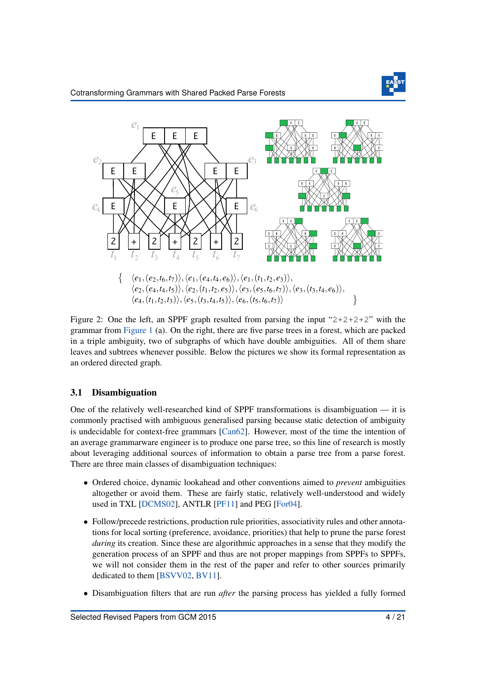

<span id="page-4-0"></span>

Figure 2: One the left, an SPPF graph resulted from parsing the input " $2+2+2+2$ " with the grammar from [Figure 1](#page-3-1) (a). On the right, there are five parse trees in a forest, which are packed in a triple ambiguity, two of subgraphs of which have double ambiguities. All of them share leaves and subtrees whenever possible. Below the pictures we show its formal representation as an ordered directed graph.

### 3.1 Disambiguation

One of the relatively well-researched kind of SPPF transformations is disambiguation — it is commonly practised with ambiguous generalised parsing because static detection of ambiguity is undecidable for context-free grammars [\[Can62\]](#page-18-12). However, most of the time the intention of an average grammarware engineer is to produce one parse tree, so this line of research is mostly about leveraging additional sources of information to obtain a parse tree from a parse forest. There are three main classes of disambiguation techniques:

- Ordered choice, dynamic lookahead and other conventions aimed to *prevent* ambiguities altogether or avoid them. These are fairly static, relatively well-understood and widely used in TXL [\[DCMS02\]](#page-18-13), ANTLR [\[PF11\]](#page-20-7) and PEG [\[For04\]](#page-19-6).
- Follow/precede restrictions, production rule priorities, associativity rules and other annotations for local sorting (preference, avoidance, priorities) that help to prune the parse forest *during* its creation. Since these are algorithmic approaches in a sense that they modify the generation process of an SPPF and thus are not proper mappings from SPPFs to SPPFs, we will not consider them in the rest of the paper and refer to other sources primarily dedicated to them [\[BSVV02,](#page-18-1) [BV11\]](#page-18-2).
- Disambiguation filters that are run *after* the parsing process has yielded a fully formed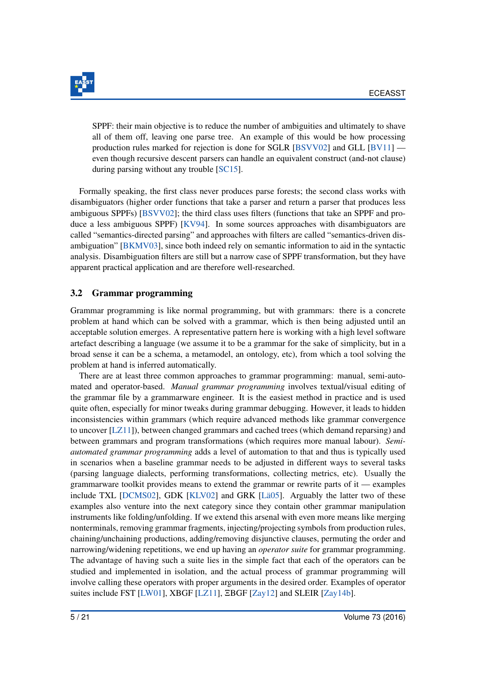

SPPF: their main objective is to reduce the number of ambiguities and ultimately to shave all of them off, leaving one parse tree. An example of this would be how processing production rules marked for rejection is done for SGLR [\[BSVV02\]](#page-18-1) and GLL [\[BV11\]](#page-18-2) even though recursive descent parsers can handle an equivalent construct (and-not clause) during parsing without any trouble [\[SC15\]](#page-21-6).

Formally speaking, the first class never produces parse forests; the second class works with disambiguators (higher order functions that take a parser and return a parser that produces less ambiguous SPPFs) [\[BSVV02\]](#page-18-1); the third class uses filters (functions that take an SPPF and produce a less ambiguous SPPF) [\[KV94\]](#page-19-7). In some sources approaches with disambiguators are called "semantics-directed parsing" and approaches with filters are called "semantics-driven disambiguation" [\[BKMV03\]](#page-18-14), since both indeed rely on semantic information to aid in the syntactic analysis. Disambiguation filters are still but a narrow case of SPPF transformation, but they have apparent practical application and are therefore well-researched.

#### 3.2 Grammar programming

Grammar programming is like normal programming, but with grammars: there is a concrete problem at hand which can be solved with a grammar, which is then being adjusted until an acceptable solution emerges. A representative pattern here is working with a high level software artefact describing a language (we assume it to be a grammar for the sake of simplicity, but in a broad sense it can be a schema, a metamodel, an ontology, etc), from which a tool solving the problem at hand is inferred automatically.

There are at least three common approaches to grammar programming: manual, semi-automated and operator-based. *Manual grammar programming* involves textual/visual editing of the grammar file by a grammarware engineer. It is the easiest method in practice and is used quite often, especially for minor tweaks during grammar debugging. However, it leads to hidden inconsistencies within grammars (which require advanced methods like grammar convergence to uncover [\[LZ11\]](#page-20-8)), between changed grammars and cached trees (which demand reparsing) and between grammars and program transformations (which requires more manual labour). *Semiautomated grammar programming* adds a level of automation to that and thus is typically used in scenarios when a baseline grammar needs to be adjusted in different ways to several tasks (parsing language dialects, performing transformations, collecting metrics, etc). Usually the grammarware toolkit provides means to extend the grammar or rewrite parts of it — examples include TXL [\[DCMS02\]](#page-18-13), GDK [\[KLV02\]](#page-19-8) and GRK [\[Lä05\]](#page-20-9). Arguably the latter two of these examples also venture into the next category since they contain other grammar manipulation instruments like folding/unfolding. If we extend this arsenal with even more means like merging nonterminals, removing grammar fragments, injecting/projecting symbols from production rules, chaining/unchaining productions, adding/removing disjunctive clauses, permuting the order and narrowing/widening repetitions, we end up having an *operator suite* for grammar programming. The advantage of having such a suite lies in the simple fact that each of the operators can be studied and implemented in isolation, and the actual process of grammar programming will involve calling these operators with proper arguments in the desired order. Examples of operator suites include FST [\[LW01\]](#page-20-10), XBGF [\[LZ11\]](#page-20-8), ΞBGF [\[Zay12\]](#page-21-10) and SLEIR [\[Zay14b\]](#page-21-13).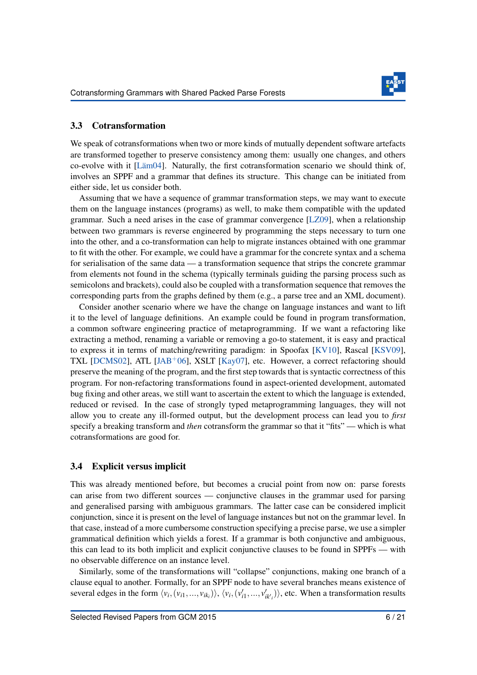

#### 3.3 Cotransformation

We speak of cotransformations when two or more kinds of mutually dependent software artefacts are transformed together to preserve consistency among them: usually one changes, and others co-evolve with it [\[Läm04\]](#page-20-11). Naturally, the first cotransformation scenario we should think of, involves an SPPF and a grammar that defines its structure. This change can be initiated from either side, let us consider both.

Assuming that we have a sequence of grammar transformation steps, we may want to execute them on the language instances (programs) as well, to make them compatible with the updated grammar. Such a need arises in the case of grammar convergence [\[LZ09\]](#page-20-12), when a relationship between two grammars is reverse engineered by programming the steps necessary to turn one into the other, and a co-transformation can help to migrate instances obtained with one grammar to fit with the other. For example, we could have a grammar for the concrete syntax and a schema for serialisation of the same data — a transformation sequence that strips the concrete grammar from elements not found in the schema (typically terminals guiding the parsing process such as semicolons and brackets), could also be coupled with a transformation sequence that removes the corresponding parts from the graphs defined by them (e.g., a parse tree and an XML document).

Consider another scenario where we have the change on language instances and want to lift it to the level of language definitions. An example could be found in program transformation, a common software engineering practice of metaprogramming. If we want a refactoring like extracting a method, renaming a variable or removing a go-to statement, it is easy and practical to express it in terms of matching/rewriting paradigm: in Spoofax [\[KV10\]](#page-19-9), Rascal [\[KSV09\]](#page-19-3), TXL [\[DCMS02\]](#page-18-13), ATL [\[JAB](#page-19-10)<sup>+</sup>06], XSLT [\[Kay07\]](#page-19-11), etc. However, a correct refactoring should preserve the meaning of the program, and the first step towards that is syntactic correctness of this program. For non-refactoring transformations found in aspect-oriented development, automated bug fixing and other areas, we still want to ascertain the extent to which the language is extended, reduced or revised. In the case of strongly typed metaprogramming languages, they will not allow you to create any ill-formed output, but the development process can lead you to *first* specify a breaking transform and *then* cotransform the grammar so that it "fits" — which is what cotransformations are good for.

#### <span id="page-6-0"></span>3.4 Explicit versus implicit

This was already mentioned before, but becomes a crucial point from now on: parse forests can arise from two different sources — conjunctive clauses in the grammar used for parsing and generalised parsing with ambiguous grammars. The latter case can be considered implicit conjunction, since it is present on the level of language instances but not on the grammar level. In that case, instead of a more cumbersome construction specifying a precise parse, we use a simpler grammatical definition which yields a forest. If a grammar is both conjunctive and ambiguous, this can lead to its both implicit and explicit conjunctive clauses to be found in SPPFs — with no observable difference on an instance level.

Similarly, some of the transformations will "collapse" conjunctions, making one branch of a clause equal to another. Formally, for an SPPF node to have several branches means existence of several edges in the form  $\langle v_i, (v_{i1},...,v_{ik_i}) \rangle$ ,  $\langle v_i, (v'_{i1},...,v'_{ik_i}) \rangle$ , etc. When a transformation results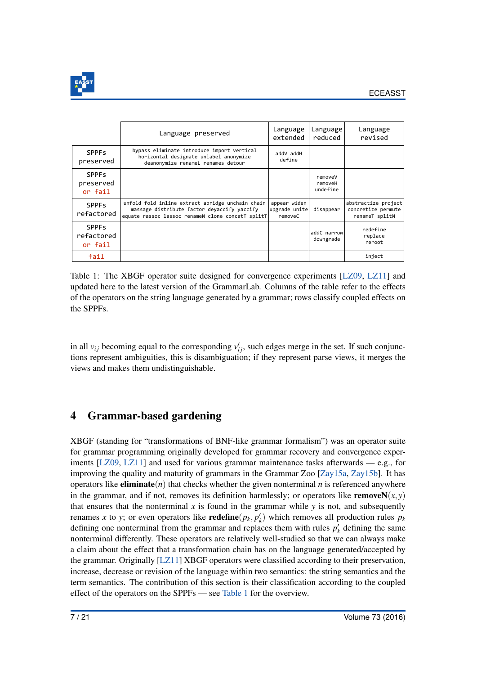

<span id="page-7-1"></span>

|                                                  | Language preserved                                                                                                                                   | Language<br>extended                     | Language<br>reduced            | Language<br>revised                                         |
|--------------------------------------------------|------------------------------------------------------------------------------------------------------------------------------------------------------|------------------------------------------|--------------------------------|-------------------------------------------------------------|
| <b>SPPF<sub>s</sub></b><br>preserved             | bypass eliminate introduce import vertical<br>horizontal designate unlabel anonymize<br>deanonymize renameL renames detour                           | addV addH<br>define                      |                                |                                                             |
| <b>SPPF<sub>s</sub></b><br>preserved<br>or fail  |                                                                                                                                                      |                                          | removeV<br>removeH<br>undefine |                                                             |
| <b>SPPF<sub>s</sub></b><br>refactored            | unfold fold inline extract abridge unchain chain<br>massage distribute factor devaccify yaccify<br>equate rassoc lassoc renameN clone concatT splitT | appear widen<br>upgrade unite<br>removeC | disappear                      | abstractize project<br>concretize permute<br>renameT splitN |
| <b>SPPF<sub>S</sub></b><br>refactored<br>or fail |                                                                                                                                                      |                                          | addC narrow<br>downgrade       | redefine<br>replace<br>reroot                               |
| fail                                             |                                                                                                                                                      |                                          |                                | inject                                                      |

Table 1: The XBGF operator suite designed for convergence experiments [\[LZ09,](#page-20-12) [LZ11\]](#page-20-8) and updated here to the latest version of the GrammarLab. Columns of the table refer to the effects of the operators on the string language generated by a grammar; rows classify coupled effects on the SPPFs.

in all  $v_{ij}$  becoming equal to the corresponding  $v'_{ij}$ , such edges merge in the set. If such conjunctions represent ambiguities, this is disambiguation; if they represent parse views, it merges the views and makes them undistinguishable.

# <span id="page-7-0"></span>4 Grammar-based gardening

XBGF (standing for "transformations of BNF-like grammar formalism") was an operator suite for grammar programming originally developed for grammar recovery and convergence experiments  $[LZ09, LZ11]$  $[LZ09, LZ11]$  $[LZ09, LZ11]$  and used for various grammar maintenance tasks afterwards — e.g., for improving the quality and maturity of grammars in the Grammar Zoo [\[Zay15a,](#page-21-14) [Zay15b\]](#page-21-15). It has operators like **eliminate** $(n)$  that checks whether the given nonterminal  $n$  is referenced anywhere in the grammar, and if not, removes its definition harmlessly; or operators like **remove**N $(x, y)$ that ensures that the nonterminal  $x$  is found in the grammar while  $y$  is not, and subsequently renames *x* to *y*; or even operators like **redefine**( $p_k$ ,  $p'_k$ ) which removes all production rules  $p_k$ defining one nonterminal from the grammar and replaces them with rules  $p'_{k}$  defining the same nonterminal differently. These operators are relatively well-studied so that we can always make a claim about the effect that a transformation chain has on the language generated/accepted by the grammar. Originally [\[LZ11\]](#page-20-8) XBGF operators were classified according to their preservation, increase, decrease or revision of the language within two semantics: the string semantics and the term semantics. The contribution of this section is their classification according to the coupled effect of the operators on the SPPFs — see [Table 1](#page-7-1) for the overview.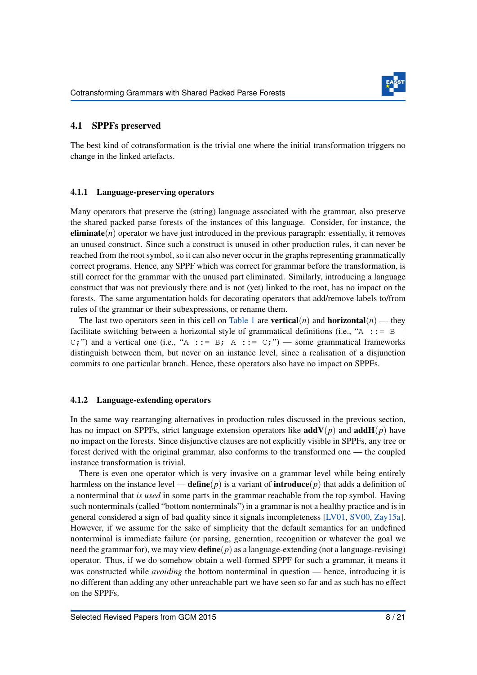

#### 4.1 SPPFs preserved

The best kind of cotransformation is the trivial one where the initial transformation triggers no change in the linked artefacts.

#### 4.1.1 Language-preserving operators

Many operators that preserve the (string) language associated with the grammar, also preserve the shared packed parse forests of the instances of this language. Consider, for instance, the **eliminate** $(n)$  operator we have just introduced in the previous paragraph: essentially, it removes an unused construct. Since such a construct is unused in other production rules, it can never be reached from the root symbol, so it can also never occur in the graphs representing grammatically correct programs. Hence, any SPPF which was correct for grammar before the transformation, is still correct for the grammar with the unused part eliminated. Similarly, introducing a language construct that was not previously there and is not (yet) linked to the root, has no impact on the forests. The same argumentation holds for decorating operators that add/remove labels to/from rules of the grammar or their subexpressions, or rename them.

The last two operators seen in this cell on [Table 1](#page-7-1) are **vertical**(*n*) and **horizontal**(*n*) — they facilitate switching between a horizontal style of grammatical definitions (i.e., " $A$  ::=  $B$  |  $C;$ ") and a vertical one (i.e., "A ::= B; A ::= C;") — some grammatical frameworks distinguish between them, but never on an instance level, since a realisation of a disjunction commits to one particular branch. Hence, these operators also have no impact on SPPFs.

#### 4.1.2 Language-extending operators

In the same way rearranging alternatives in production rules discussed in the previous section, has no impact on SPPFs, strict language extension operators like  $addV(p)$  and  $addH(p)$  have no impact on the forests. Since disjunctive clauses are not explicitly visible in SPPFs, any tree or forest derived with the original grammar, also conforms to the transformed one — the coupled instance transformation is trivial.

There is even one operator which is very invasive on a grammar level while being entirely harmless on the instance level — **define**( $p$ ) is a variant of **introduce**( $p$ ) that adds a definition of a nonterminal that *is used* in some parts in the grammar reachable from the top symbol. Having such nonterminals (called "bottom nonterminals") in a grammar is not a healthy practice and is in general considered a sign of bad quality since it signals incompleteness [\[LV01,](#page-20-13) [SV00,](#page-21-16) [Zay15a\]](#page-21-14). However, if we assume for the sake of simplicity that the default semantics for an undefined nonterminal is immediate failure (or parsing, generation, recognition or whatever the goal we need the grammar for), we may view define(*p*) as a language-extending (not a language-revising) operator. Thus, if we do somehow obtain a well-formed SPPF for such a grammar, it means it was constructed while *avoiding* the bottom nonterminal in question — hence, introducing it is no different than adding any other unreachable part we have seen so far and as such has no effect on the SPPFs.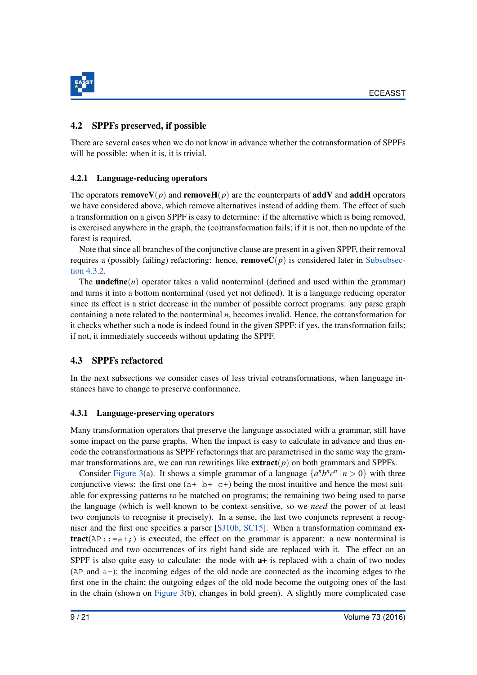

### 4.2 SPPFs preserved, if possible

There are several cases when we do not know in advance whether the cotransformation of SPPFs will be possible: when it is, it is trivial.

### 4.2.1 Language-reducing operators

The operators **removeV**(*p*) and **removeH**(*p*) are the counterparts of **addV** and **addH** operators we have considered above, which remove alternatives instead of adding them. The effect of such a transformation on a given SPPF is easy to determine: if the alternative which is being removed, is exercised anywhere in the graph, the (co)transformation fails; if it is not, then no update of the forest is required.

Note that since all branches of the conjunctive clause are present in a given SPPF, their removal requires a (possibly failing) refactoring: hence, **remove** $C(p)$  is considered later in [Subsubsec](#page-12-0)[tion 4.3.2.](#page-12-0)

The **undefine** $(n)$  operator takes a valid nonterminal (defined and used within the grammar) and turns it into a bottom nonterminal (used yet not defined). It is a language reducing operator since its effect is a strict decrease in the number of possible correct programs: any parse graph containing a note related to the nonterminal *n*, becomes invalid. Hence, the cotransformation for it checks whether such a node is indeed found in the given SPPF: if yes, the transformation fails; if not, it immediately succeeds without updating the SPPF.

# 4.3 SPPFs refactored

In the next subsections we consider cases of less trivial cotransformations, when language instances have to change to preserve conformance.

#### 4.3.1 Language-preserving operators

Many transformation operators that preserve the language associated with a grammar, still have some impact on the parse graphs. When the impact is easy to calculate in advance and thus encode the cotransformations as SPPF refactorings that are parametrised in the same way the grammar transformations are, we can run rewritings like  $extract(p)$  on both grammars and SPPFs.

Consider [Figure 3\(](#page-10-0)a). It shows a simple grammar of a language  $\{a^n b^n c^n | n > 0\}$  with three conjunctive views: the first one  $(a+b+c)$  being the most intuitive and hence the most suitable for expressing patterns to be matched on programs; the remaining two being used to parse the language (which is well-known to be context-sensitive, so we *need* the power of at least two conjuncts to recognise it precisely). In a sense, the last two conjuncts represent a recogniser and the first one specifies a parser [\[SJ10b,](#page-21-17) [SC15\]](#page-21-6). When a transformation command extract( $AP: := a + j$ ) is executed, the effect on the grammar is apparent: a new nonterminal is introduced and two occurrences of its right hand side are replaced with it. The effect on an SPPF is also quite easy to calculate: the node with  $a+$  is replaced with a chain of two nodes (AP and a+); the incoming edges of the old node are connected as the incoming edges to the first one in the chain; the outgoing edges of the old node become the outgoing ones of the last in the chain (shown on [Figure 3\(](#page-10-0)b), changes in bold green). A slightly more complicated case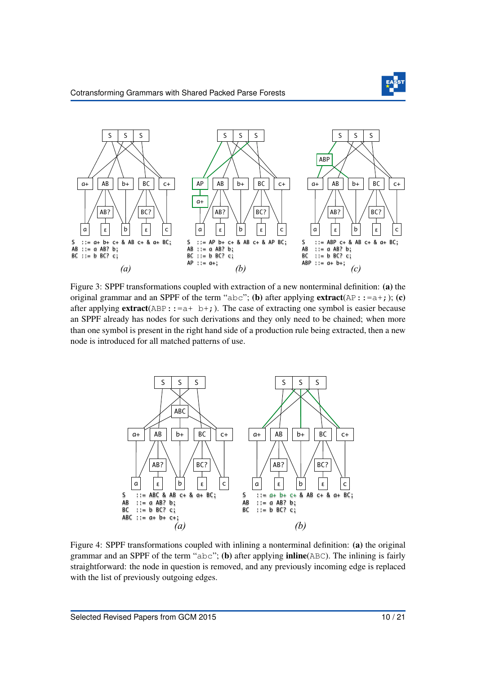

<span id="page-10-0"></span>

Figure 3: SPPF transformations coupled with extraction of a new nonterminal definition: (a) the original grammar and an SPPF of the term "abc"; (b) after applying  $extract(\mathbb{AP}::=a+;);$  (c) after applying  $extract(ABP::=a+ b+;).$  The case of extracting one symbol is easier because an SPPF already has nodes for such derivations and they only need to be chained; when more than one symbol is present in the right hand side of a production rule being extracted, then a new node is introduced for all matched patterns of use.

<span id="page-10-1"></span>

Figure 4: SPPF transformations coupled with inlining a nonterminal definition: (a) the original grammar and an SPPF of the term " $abc$ "; (b) after applying **inline**( $ABC$ ). The inlining is fairly straightforward: the node in question is removed, and any previously incoming edge is replaced with the list of previously outgoing edges.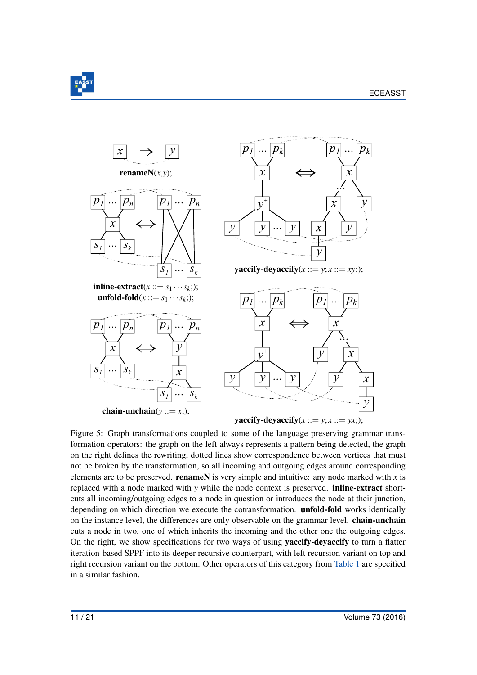

<span id="page-11-0"></span>

Figure 5: Graph transformations coupled to some of the language preserving grammar transformation operators: the graph on the left always represents a pattern being detected, the graph on the right defines the rewriting, dotted lines show correspondence between vertices that must not be broken by the transformation, so all incoming and outgoing edges around corresponding elements are to be preserved. **renameN** is very simple and intuitive: any node marked with  $x$  is replaced with a node marked with *y* while the node context is preserved. inline-extract shortcuts all incoming/outgoing edges to a node in question or introduces the node at their junction, depending on which direction we execute the cotransformation. unfold-fold works identically on the instance level, the differences are only observable on the grammar level. chain-unchain cuts a node in two, one of which inherits the incoming and the other one the outgoing edges. On the right, we show specifications for two ways of using **yaccify-devaccify** to turn a flatter iteration-based SPPF into its deeper recursive counterpart, with left recursion variant on top and right recursion variant on the bottom. Other operators of this category from [Table 1](#page-7-1) are specified in a similar fashion.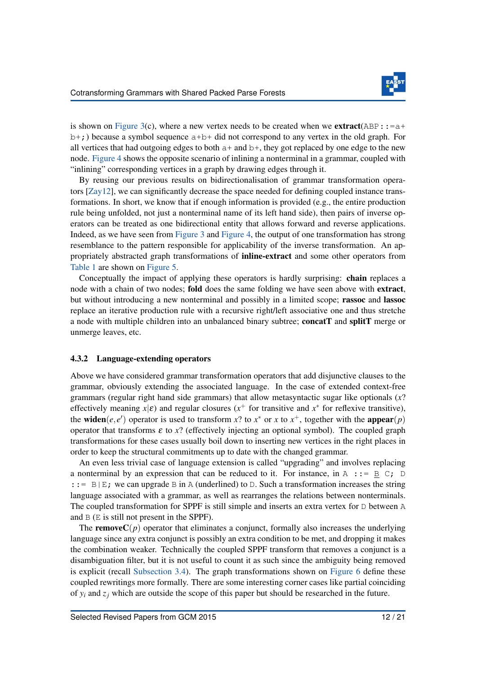

is shown on [Figure 3\(](#page-10-0)c), where a new vertex needs to be created when we **extract**(ABP::= $a+$  $b+$ ;) because a symbol sequence  $a+b+$  did not correspond to any vertex in the old graph. For all vertices that had outgoing edges to both  $a+$  and  $b+$ , they got replaced by one edge to the new node. [Figure 4](#page-10-1) shows the opposite scenario of inlining a nonterminal in a grammar, coupled with "inlining" corresponding vertices in a graph by drawing edges through it.

By reusing our previous results on bidirectionalisation of grammar transformation operators [\[Zay12\]](#page-21-10), we can significantly decrease the space needed for defining coupled instance transformations. In short, we know that if enough information is provided (e.g., the entire production rule being unfolded, not just a nonterminal name of its left hand side), then pairs of inverse operators can be treated as one bidirectional entity that allows forward and reverse applications. Indeed, as we have seen from [Figure 3](#page-10-0) and [Figure 4,](#page-10-1) the output of one transformation has strong resemblance to the pattern responsible for applicability of the inverse transformation. An appropriately abstracted graph transformations of inline-extract and some other operators from [Table 1](#page-7-1) are shown on [Figure 5.](#page-11-0)

Conceptually the impact of applying these operators is hardly surprising: **chain** replaces a node with a chain of two nodes; fold does the same folding we have seen above with extract, but without introducing a new nonterminal and possibly in a limited scope; rassoc and lassoc replace an iterative production rule with a recursive right/left associative one and thus stretche a node with multiple children into an unbalanced binary subtree; concatT and splitT merge or unmerge leaves, etc.

#### <span id="page-12-0"></span>4.3.2 Language-extending operators

Above we have considered grammar transformation operators that add disjunctive clauses to the grammar, obviously extending the associated language. In the case of extended context-free grammars (regular right hand side grammars) that allow metasyntactic sugar like optionals (*x*? effectively meaning  $x|\varepsilon$ ) and regular closures ( $x^+$  for transitive and  $x^*$  for reflexive transitive), the **widen**(*e*,*e'*) operator is used to transform *x*? to *x*<sup>\*</sup> or *x* to *x*<sup>+</sup>, together with the **appear**(*p*) operator that transforms  $\varepsilon$  to  $x$ ? (effectively injecting an optional symbol). The coupled graph transformations for these cases usually boil down to inserting new vertices in the right places in order to keep the structural commitments up to date with the changed grammar.

An even less trivial case of language extension is called "upgrading" and involves replacing a nonterminal by an expression that can be reduced to it. For instance, in A ::=  $\exists E C; \Box$ :: = B|E; we can upgrade B in A (underlined) to D. Such a transformation increases the string language associated with a grammar, as well as rearranges the relations between nonterminals. The coupled transformation for SPPF is still simple and inserts an extra vertex for  $D$  between  $A$ and B (E is still not present in the SPPF).

The **remove** $C(p)$  operator that eliminates a conjunct, formally also increases the underlying language since any extra conjunct is possibly an extra condition to be met, and dropping it makes the combination weaker. Technically the coupled SPPF transform that removes a conjunct is a disambiguation filter, but it is not useful to count it as such since the ambiguity being removed is explicit (recall [Subsection 3.4\)](#page-6-0). The graph transformations shown on [Figure 6](#page-13-0) define these coupled rewritings more formally. There are some interesting corner cases like partial coinciding of  $y_i$  and  $z_j$  which are outside the scope of this paper but should be researched in the future.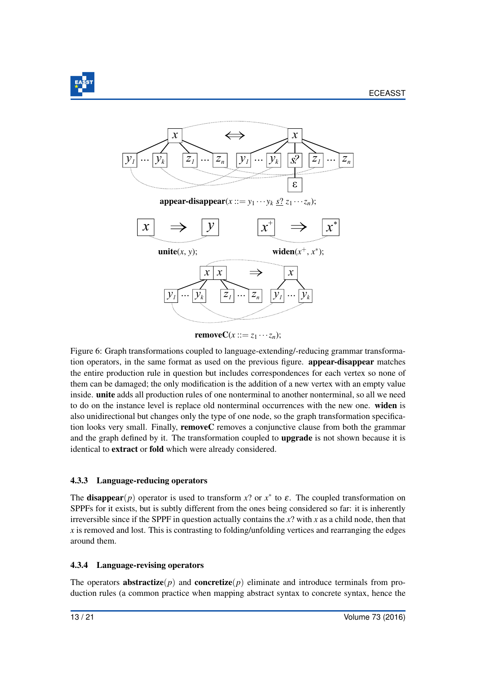

<span id="page-13-0"></span>

removeC( $x ::= z_1 \cdots z_n$ );

Figure 6: Graph transformations coupled to language-extending/-reducing grammar transformation operators, in the same format as used on the previous figure. appear-disappear matches the entire production rule in question but includes correspondences for each vertex so none of them can be damaged; the only modification is the addition of a new vertex with an empty value inside. unite adds all production rules of one nonterminal to another nonterminal, so all we need to do on the instance level is replace old nonterminal occurrences with the new one. widen is also unidirectional but changes only the type of one node, so the graph transformation specification looks very small. Finally, removeC removes a conjunctive clause from both the grammar and the graph defined by it. The transformation coupled to **upgrade** is not shown because it is identical to extract or fold which were already considered.

### 4.3.3 Language-reducing operators

The **disappear**( $p$ ) operator is used to transform  $x$ ? or  $x^*$  to  $\varepsilon$ . The coupled transformation on SPPFs for it exists, but is subtly different from the ones being considered so far: it is inherently irreversible since if the SPPF in question actually contains the *x*? with *x* as a child node, then that *x* is removed and lost. This is contrasting to folding/unfolding vertices and rearranging the edges around them.

#### 4.3.4 Language-revising operators

The operators **abstractize**( $p$ ) and **concretize**( $p$ ) eliminate and introduce terminals from production rules (a common practice when mapping abstract syntax to concrete syntax, hence the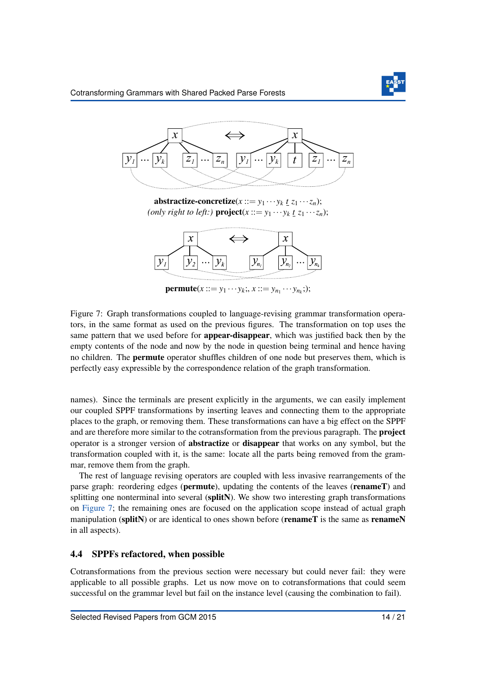

<span id="page-14-0"></span>

abstractize-concretize( $x ::= y_1 \cdots y_k \underline{t} \overline{z_1 \cdots z_n}$ ); *(only right to left:)* **project**( $x ::= y_1 \cdots y_k \underline{t} \underline{z}_1 \cdots \underline{z}_n$ );



**permute**( $x ::= y_1 \cdots y_k;$ ,  $x ::= y_{n_1} \cdots y_{n_k};$ );

Figure 7: Graph transformations coupled to language-revising grammar transformation operators, in the same format as used on the previous figures. The transformation on top uses the same pattern that we used before for appear-disappear, which was justified back then by the empty contents of the node and now by the node in question being terminal and hence having no children. The permute operator shuffles children of one node but preserves them, which is perfectly easy expressible by the correspondence relation of the graph transformation.

names). Since the terminals are present explicitly in the arguments, we can easily implement our coupled SPPF transformations by inserting leaves and connecting them to the appropriate places to the graph, or removing them. These transformations can have a big effect on the SPPF and are therefore more similar to the cotransformation from the previous paragraph. The project operator is a stronger version of abstractize or disappear that works on any symbol, but the transformation coupled with it, is the same: locate all the parts being removed from the grammar, remove them from the graph.

The rest of language revising operators are coupled with less invasive rearrangements of the parse graph: reordering edges (permute), updating the contents of the leaves (renameT) and splitting one nonterminal into several (splitN). We show two interesting graph transformations on [Figure 7;](#page-14-0) the remaining ones are focused on the application scope instead of actual graph manipulation (splitN) or are identical to ones shown before (**renameT** is the same as **renameN** in all aspects).

### 4.4 SPPFs refactored, when possible

Cotransformations from the previous section were necessary but could never fail: they were applicable to all possible graphs. Let us now move on to cotransformations that could seem successful on the grammar level but fail on the instance level (causing the combination to fail).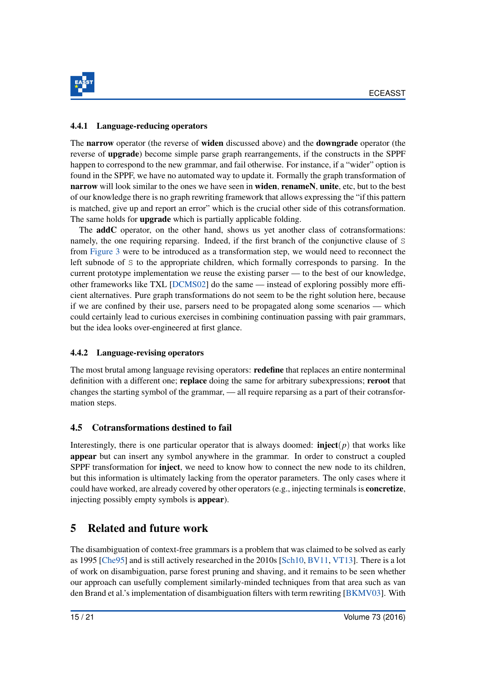

#### 4.4.1 Language-reducing operators

The narrow operator (the reverse of widen discussed above) and the downgrade operator (the reverse of upgrade) become simple parse graph rearrangements, if the constructs in the SPPF happen to correspond to the new grammar, and fail otherwise. For instance, if a "wider" option is found in the SPPF, we have no automated way to update it. Formally the graph transformation of narrow will look similar to the ones we have seen in **widen, renameN, unite**, etc, but to the best of our knowledge there is no graph rewriting framework that allows expressing the "if this pattern is matched, give up and report an error" which is the crucial other side of this cotransformation. The same holds for **upgrade** which is partially applicable folding.

The **addC** operator, on the other hand, shows us yet another class of cotransformations: namely, the one requiring reparsing. Indeed, if the first branch of the conjunctive clause of S from [Figure 3](#page-10-0) were to be introduced as a transformation step, we would need to reconnect the left subnode of S to the appropriate children, which formally corresponds to parsing. In the current prototype implementation we reuse the existing parser — to the best of our knowledge, other frameworks like TXL [\[DCMS02\]](#page-18-13) do the same — instead of exploring possibly more efficient alternatives. Pure graph transformations do not seem to be the right solution here, because if we are confined by their use, parsers need to be propagated along some scenarios — which could certainly lead to curious exercises in combining continuation passing with pair grammars, but the idea looks over-engineered at first glance.

### 4.4.2 Language-revising operators

The most brutal among language revising operators: **redefine** that replaces an entire nonterminal definition with a different one; replace doing the same for arbitrary subexpressions; reroot that changes the starting symbol of the grammar, — all require reparsing as a part of their cotransformation steps.

### 4.5 Cotransformations destined to fail

Interestingly, there is one particular operator that is always doomed:  $\mathbf{inject}(p)$  that works like appear but can insert any symbol anywhere in the grammar. In order to construct a coupled SPPF transformation for **inject**, we need to know how to connect the new node to its children, but this information is ultimately lacking from the operator parameters. The only cases where it could have worked, are already covered by other operators (e.g., injecting terminals is concretize, injecting possibly empty symbols is appear).

# <span id="page-15-0"></span>5 Related and future work

The disambiguation of context-free grammars is a problem that was claimed to be solved as early as 1995 [\[Che95\]](#page-18-15) and is still actively researched in the 2010s [\[Sch10,](#page-21-18) [BV11,](#page-18-2) [VT13\]](#page-21-19). There is a lot of work on disambiguation, parse forest pruning and shaving, and it remains to be seen whether our approach can usefully complement similarly-minded techniques from that area such as van den Brand et al.'s implementation of disambiguation filters with term rewriting [\[BKMV03\]](#page-18-14). With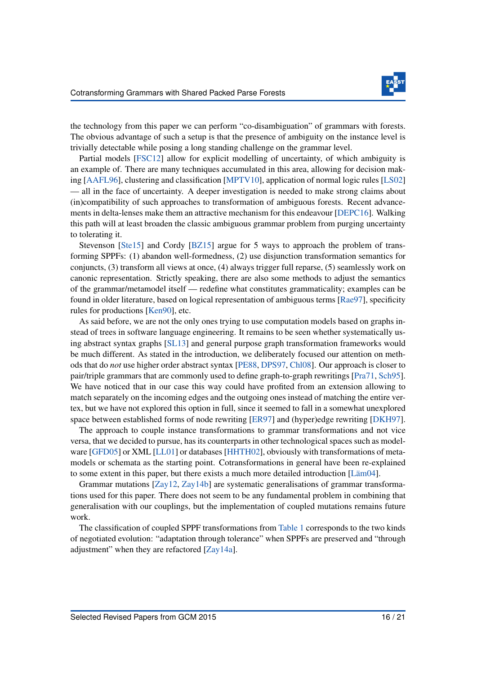

the technology from this paper we can perform "co-disambiguation" of grammars with forests. The obvious advantage of such a setup is that the presence of ambiguity on the instance level is trivially detectable while posing a long standing challenge on the grammar level.

Partial models [\[FSC12\]](#page-19-12) allow for explicit modelling of uncertainty, of which ambiguity is an example of. There are many techniques accumulated in this area, allowing for decision making [\[AAFL96\]](#page-18-16), clustering and classification [\[MPTV10\]](#page-20-14), application of normal logic rules [\[LS02\]](#page-20-15) — all in the face of uncertainty. A deeper investigation is needed to make strong claims about (in)compatibility of such approaches to transformation of ambiguous forests. Recent advancements in delta-lenses make them an attractive mechanism for this endeavour [\[DEPC16\]](#page-18-17). Walking this path will at least broaden the classic ambiguous grammar problem from purging uncertainty to tolerating it.

Stevenson [\[Ste15\]](#page-21-8) and Cordy [\[BZ15\]](#page-18-4) argue for 5 ways to approach the problem of transforming SPPFs: (1) abandon well-formedness, (2) use disjunction transformation semantics for conjuncts, (3) transform all views at once, (4) always trigger full reparse, (5) seamlessly work on canonic representation. Strictly speaking, there are also some methods to adjust the semantics of the grammar/metamodel itself — redefine what constitutes grammaticality; examples can be found in older literature, based on logical representation of ambiguous terms [\[Rae97\]](#page-20-16), specificity rules for productions [\[Ken90\]](#page-19-13), etc.

As said before, we are not the only ones trying to use computation models based on graphs instead of trees in software language engineering. It remains to be seen whether systematically using abstract syntax graphs [\[SL13\]](#page-21-1) and general purpose graph transformation frameworks would be much different. As stated in the introduction, we deliberately focused our attention on methods that do *not* use higher order abstract syntax [\[PE88,](#page-20-3) [DPS97,](#page-19-0) [Chl08\]](#page-18-3). Our approach is closer to pair/triple grammars that are commonly used to define graph-to-graph rewritings [\[Pra71,](#page-20-17) [Sch95\]](#page-21-20). We have noticed that in our case this way could have profited from an extension allowing to match separately on the incoming edges and the outgoing ones instead of matching the entire vertex, but we have not explored this option in full, since it seemed to fall in a somewhat unexplored space between established forms of node rewriting [\[ER97\]](#page-19-14) and (hyper)edge rewriting [\[DKH97\]](#page-19-15).

The approach to couple instance transformations to grammar transformations and not vice versa, that we decided to pursue, has its counterparts in other technological spaces such as modelware [\[GFD05\]](#page-19-16) or XML [\[LL01\]](#page-20-18) or databases [\[HHTH02\]](#page-19-17), obviously with transformations of metamodels or schemata as the starting point. Cotransformations in general have been re-explained to some extent in this paper, but there exists a much more detailed introduction [\[Läm04\]](#page-20-11).

Grammar mutations [\[Zay12,](#page-21-10) [Zay14b\]](#page-21-13) are systematic generalisations of grammar transformations used for this paper. There does not seem to be any fundamental problem in combining that generalisation with our couplings, but the implementation of coupled mutations remains future work.

The classification of coupled SPPF transformations from [Table 1](#page-7-1) corresponds to the two kinds of negotiated evolution: "adaptation through tolerance" when SPPFs are preserved and "through adjustment" when they are refactored [\[Zay14a\]](#page-21-21).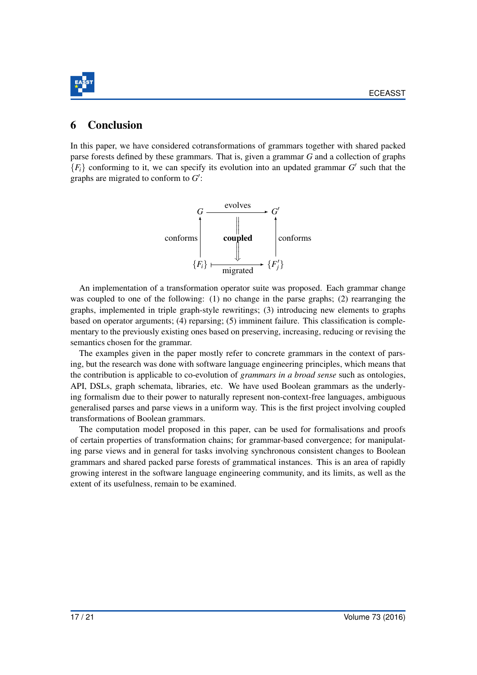

# <span id="page-17-0"></span>**Conclusion**

In this paper, we have considered cotransformations of grammars together with shared packed parse forests defined by these grammars. That is, given a grammar *G* and a collection of graphs  ${F<sub>i</sub>}$  conforming to it, we can specify its evolution into an updated grammar *G*<sup> $\prime$ </sup> such that the graphs are migrated to conform to  $G'$ :



An implementation of a transformation operator suite was proposed. Each grammar change was coupled to one of the following: (1) no change in the parse graphs; (2) rearranging the graphs, implemented in triple graph-style rewritings; (3) introducing new elements to graphs based on operator arguments; (4) reparsing; (5) imminent failure. This classification is complementary to the previously existing ones based on preserving, increasing, reducing or revising the semantics chosen for the grammar.

The examples given in the paper mostly refer to concrete grammars in the context of parsing, but the research was done with software language engineering principles, which means that the contribution is applicable to co-evolution of *grammars in a broad sense* such as ontologies, API, DSLs, graph schemata, libraries, etc. We have used Boolean grammars as the underlying formalism due to their power to naturally represent non-context-free languages, ambiguous generalised parses and parse views in a uniform way. This is the first project involving coupled transformations of Boolean grammars.

The computation model proposed in this paper, can be used for formalisations and proofs of certain properties of transformation chains; for grammar-based convergence; for manipulating parse views and in general for tasks involving synchronous consistent changes to Boolean grammars and shared packed parse forests of grammatical instances. This is an area of rapidly growing interest in the software language engineering community, and its limits, as well as the extent of its usefulness, remain to be examined.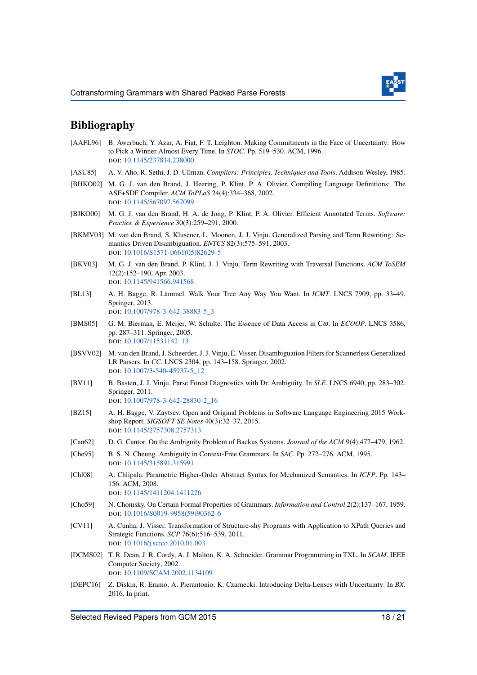

## Bibliography

- <span id="page-18-16"></span>[AAFL96] B. Awerbuch, Y. Azar, A. Fiat, F. T. Leighton. Making Commitments in the Face of Uncertainty: How to Pick a Winner Almost Every Time. In *STOC*. Pp. 519–530. ACM, 1996. DOI: [10.1145/237814.238000](http://dx.doi.org/10.1145/237814.238000)
- <span id="page-18-0"></span>[ASU85] A. V. Aho, R. Sethi, J. D. Ullman. *Compilers: Principles, Techniques and Tools*. Addison-Wesley, 1985.
- <span id="page-18-7"></span>[BHKO02] M. G. J. van den Brand, J. Heering, P. Klint, P. A. Olivier. Compiling Language Definitions: The ASF+SDF Compiler. *ACM ToPLaS* 24(4):334–368, 2002. DOI: [10.1145/567097.567099](http://dx.doi.org/10.1145/567097.567099)
- <span id="page-18-6"></span>[BJKO00] M. G. J. van den Brand, H. A. de Jong, P. Klint, P. A. Olivier. Efficient Annotated Terms. *Software: Practice & Experience* 30(3):259–291, 2000.
- <span id="page-18-14"></span>[BKMV03] M. van den Brand, S. Klusener, L. Moonen, J. J. Vinju. Generalized Parsing and Term Rewriting: Semantics Driven Disambiguation. *ENTCS* 82(3):575–591, 2003. DOI: [10.1016/S1571-0661\(05\)82629-5](http://dx.doi.org/10.1016/S1571-0661(05)82629-5)
- <span id="page-18-11"></span>[BKV03] M. G. J. van den Brand, P. Klint, J. J. Vinju. Term Rewriting with Traversal Functions. *ACM ToSEM* 12(2):152–190, Apr. 2003. DOI: [10.1145/941566.941568](http://dx.doi.org/10.1145/941566.941568)
- <span id="page-18-9"></span>[BL13] A. H. Bagge, R. Lämmel. Walk Your Tree Any Way You Want. In *ICMT*. LNCS 7909, pp. 33–49. Springer, 2013. DOI: [10.1007/978-3-642-38883-5\\_3](http://dx.doi.org/10.1007/978-3-642-38883-5_3)
- <span id="page-18-8"></span>[BMS05] G. M. Bierman, E. Meijer, W. Schulte. The Essence of Data Access in Cω. In *ECOOP*. LNCS 3586, pp. 287–311. Springer, 2005. DOI: [10.1007/11531142\\_13](http://dx.doi.org/10.1007/11531142_13)
- <span id="page-18-1"></span>[BSVV02] M. van den Brand, J. Scheerder, J. J. Vinju, E. Visser. Disambiguation Filters for Scannerless Generalized LR Parsers. In *CC*. LNCS 2304, pp. 143–158. Springer, 2002. DOI: [10.1007/3-540-45937-5\\_12](http://dx.doi.org/10.1007/3-540-45937-5_12)
- <span id="page-18-2"></span>[BV11] B. Basten, J. J. Vinju. Parse Forest Diagnostics with Dr. Ambiguity. In *SLE*. LNCS 6940, pp. 283–302. Springer, 2011. DOI: [10.1007/978-3-642-28830-2\\_16](http://dx.doi.org/10.1007/978-3-642-28830-2_16)
- <span id="page-18-4"></span>[BZ15] A. H. Bagge, V. Zaytsev. Open and Original Problems in Software Language Engineering 2015 Workshop Report. *SIGSOFT SE Notes* 40(3):32–37, 2015. DOI: [10.1145/2757308.2757313](http://dx.doi.org/10.1145/2757308.2757313)
- <span id="page-18-12"></span>[Can62] D. G. Cantor. On the Ambiguity Problem of Backus Systems. *Journal of the ACM* 9(4):477–479, 1962.
- <span id="page-18-15"></span>[Che95] B. S. N. Cheung. Ambiguity in Context-Free Grammars. In *SAC*. Pp. 272–276. ACM, 1995. DOI: [10.1145/315891.315991](http://dx.doi.org/10.1145/315891.315991)
- <span id="page-18-3"></span>[Chl08] A. Chlipala. Parametric Higher-Order Abstract Syntax for Mechanized Semantics. In *ICFP*. Pp. 143– 156. ACM, 2008. DOI: [10.1145/1411204.1411226](http://dx.doi.org/10.1145/1411204.1411226)
- <span id="page-18-5"></span>[Cho59] N. Chomsky. On Certain Formal Properties of Grammars. *Information and Control* 2(2):137–167, 1959. DOI: [10.1016/S0019-9958\(59\)90362-6](http://dx.doi.org/10.1016/S0019-9958(59)90362-6)
- <span id="page-18-10"></span>[CV11] A. Cunha, J. Visser. Transformation of Structure-shy Programs with Application to XPath Queries and Strategic Functions. *SCP* 76(6):516–539, 2011. DOI: [10.1016/j.scico.2010.01.003](http://dx.doi.org/10.1016/j.scico.2010.01.003)
- <span id="page-18-13"></span>[DCMS02] T. R. Dean, J. R. Cordy, A. J. Malton, K. A. Schneider. Grammar Programming in TXL. In *SCAM*. IEEE Computer Society, 2002. DOI: [10.1109/SCAM.2002.1134109](http://dx.doi.org/10.1109/SCAM.2002.1134109)
- <span id="page-18-17"></span>[DEPC16] Z. Diskin, R. Eramo, A. Pierantonio, K. Czarnecki. Introducing Delta-Lenses with Uncertainty. In *BX*. 2016. In print.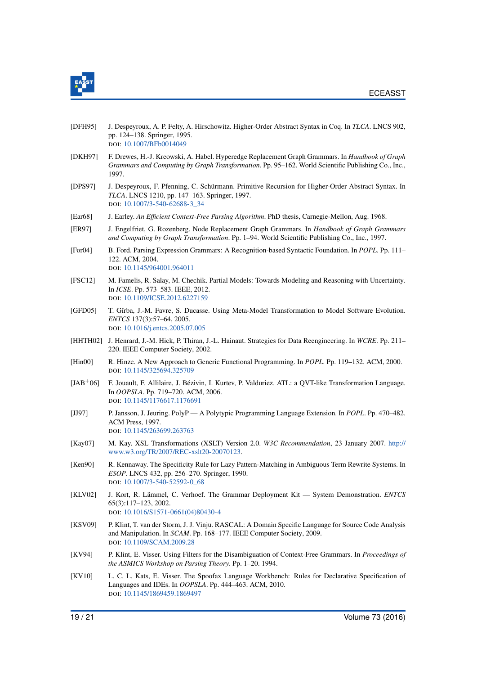

- <span id="page-19-1"></span>[DFH95] J. Despeyroux, A. P. Felty, A. Hirschowitz. Higher-Order Abstract Syntax in Coq. In *TLCA*. LNCS 902, pp. 124–138. Springer, 1995. DOI: [10.1007/BFb0014049](http://dx.doi.org/10.1007/BFb0014049)
- <span id="page-19-15"></span>[DKH97] F. Drewes, H.-J. Kreowski, A. Habel. Hyperedge Replacement Graph Grammars. In *Handbook of Graph Grammars and Computing by Graph Transformation*. Pp. 95–162. World Scientific Publishing Co., Inc., 1997.
- <span id="page-19-0"></span>[DPS97] J. Despeyroux, F. Pfenning, C. Schürmann. Primitive Recursion for Higher-Order Abstract Syntax. In *TLCA*. LNCS 1210, pp. 147–163. Springer, 1997. DOI: [10.1007/3-540-62688-3\\_34](http://dx.doi.org/10.1007/3-540-62688-3_34)
- <span id="page-19-2"></span>[Ear68] J. Earley. *An Efficient Context-Free Parsing Algorithm*. PhD thesis, Carnegie-Mellon, Aug. 1968.
- <span id="page-19-14"></span>[ER97] J. Engelfriet, G. Rozenberg. Node Replacement Graph Grammars. In *Handbook of Graph Grammars and Computing by Graph Transformation*. Pp. 1–94. World Scientific Publishing Co., Inc., 1997.
- <span id="page-19-6"></span>[For04] B. Ford. Parsing Expression Grammars: A Recognition-based Syntactic Foundation. In *POPL*. Pp. 111– 122. ACM, 2004. DOI: [10.1145/964001.964011](http://dx.doi.org/10.1145/964001.964011)
- <span id="page-19-12"></span>[FSC12] M. Famelis, R. Salay, M. Chechik. Partial Models: Towards Modeling and Reasoning with Uncertainty. In *ICSE*. Pp. 573–583. IEEE, 2012. DOI: [10.1109/ICSE.2012.6227159](http://dx.doi.org/10.1109/ICSE.2012.6227159)
- <span id="page-19-16"></span>[GFD05] T. Gîrba, J.-M. Favre, S. Ducasse. Using Meta-Model Transformation to Model Software Evolution. *ENTCS* 137(3):57–64, 2005. DOI: [10.1016/j.entcs.2005.07.005](http://dx.doi.org/10.1016/j.entcs.2005.07.005)
- <span id="page-19-17"></span>[HHTH02] J. Henrard, J.-M. Hick, P. Thiran, J.-L. Hainaut. Strategies for Data Reengineering. In *WCRE*. Pp. 211– 220. IEEE Computer Society, 2002.
- <span id="page-19-5"></span>[Hin00] R. Hinze. A New Approach to Generic Functional Programming. In *POPL*. Pp. 119–132. ACM, 2000. DOI: [10.1145/325694.325709](http://dx.doi.org/10.1145/325694.325709)
- <span id="page-19-10"></span>[JAB+06] F. Jouault, F. Allilaire, J. Bézivin, I. Kurtev, P. Valduriez. ATL: a QVT-like Transformation Language. In *OOPSLA*. Pp. 719–720. ACM, 2006. DOI: [10.1145/1176617.1176691](http://dx.doi.org/10.1145/1176617.1176691)
- <span id="page-19-4"></span>[JJ97] P. Jansson, J. Jeuring. PolyP — A Polytypic Programming Language Extension. In *POPL*. Pp. 470–482. ACM Press, 1997. DOI: [10.1145/263699.263763](http://dx.doi.org/10.1145/263699.263763)
- <span id="page-19-11"></span>[Kay07] M. Kay. XSL Transformations (XSLT) Version 2.0. *W3C Recommendation*, 23 January 2007. [http://](http://www.w3.org/TR/2007/REC-xslt20-20070123) [www.w3.org/TR/2007/REC-xslt20-20070123.](http://www.w3.org/TR/2007/REC-xslt20-20070123)
- <span id="page-19-13"></span>[Ken90] R. Kennaway. The Specificity Rule for Lazy Pattern-Matching in Ambiguous Term Rewrite Systems. In *ESOP*. LNCS 432, pp. 256–270. Springer, 1990. DOI: [10.1007/3-540-52592-0\\_68](http://dx.doi.org/10.1007/3-540-52592-0_68)
- <span id="page-19-8"></span>[KLV02] J. Kort, R. Lämmel, C. Verhoef. The Grammar Deployment Kit — System Demonstration. *ENTCS* 65(3):117–123, 2002. DOI: [10.1016/S1571-0661\(04\)80430-4](http://dx.doi.org/10.1016/S1571-0661(04)80430-4)
- <span id="page-19-3"></span>[KSV09] P. Klint, T. van der Storm, J. J. Vinju. RASCAL: A Domain Specific Language for Source Code Analysis and Manipulation. In *SCAM*. Pp. 168–177. IEEE Computer Society, 2009. DOI: [10.1109/SCAM.2009.28](http://dx.doi.org/10.1109/SCAM.2009.28)
- <span id="page-19-7"></span>[KV94] P. Klint, E. Visser. Using Filters for the Disambiguation of Context-Free Grammars. In *Proceedings of the ASMICS Workshop on Parsing Theory*. Pp. 1–20. 1994.
- <span id="page-19-9"></span>[KV10] L. C. L. Kats, E. Visser. The Spoofax Language Workbench: Rules for Declarative Specification of Languages and IDEs. In *OOPSLA*. Pp. 444–463. ACM, 2010. DOI: [10.1145/1869459.1869497](http://dx.doi.org/10.1145/1869459.1869497)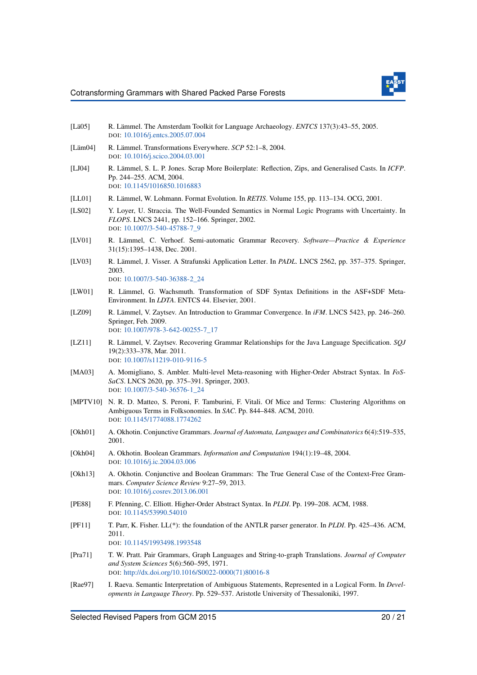

- <span id="page-20-9"></span>[Lä05] R. Lämmel. The Amsterdam Toolkit for Language Archaeology. *ENTCS* 137(3):43–55, 2005. DOI: [10.1016/j.entcs.2005.07.004](http://dx.doi.org/10.1016/j.entcs.2005.07.004)
- <span id="page-20-11"></span>[Läm04] R. Lämmel. Transformations Everywhere. *SCP* 52:1–8, 2004. DOI: [10.1016/j.scico.2004.03.001](http://dx.doi.org/10.1016/j.scico.2004.03.001)
- <span id="page-20-6"></span>[LJ04] R. Lämmel, S. L. P. Jones. Scrap More Boilerplate: Reflection, Zips, and Generalised Casts. In *ICFP*. Pp. 244–255. ACM, 2004. DOI: [10.1145/1016850.1016883](http://dx.doi.org/10.1145/1016850.1016883)
- <span id="page-20-18"></span>[LL01] R. Lämmel, W. Lohmann. Format Evolution. In *RETIS*. Volume 155, pp. 113–134. OCG, 2001.
- <span id="page-20-15"></span>[LS02] Y. Loyer, U. Straccia. The Well-Founded Semantics in Normal Logic Programs with Uncertainty. In *FLOPS*. LNCS 2441, pp. 152–166. Springer, 2002. DOI: [10.1007/3-540-45788-7\\_9](http://dx.doi.org/10.1007/3-540-45788-7_9)
- <span id="page-20-13"></span>[LV01] R. Lämmel, C. Verhoef. Semi-automatic Grammar Recovery. *Software—Practice & Experience* 31(15):1395–1438, Dec. 2001.
- <span id="page-20-5"></span>[LV03] R. Lämmel, J. Visser. A Strafunski Application Letter. In *PADL*. LNCS 2562, pp. 357–375. Springer, 2003. DOI: [10.1007/3-540-36388-2\\_24](http://dx.doi.org/10.1007/3-540-36388-2_24)
- <span id="page-20-10"></span>[LW01] R. Lämmel, G. Wachsmuth. Transformation of SDF Syntax Definitions in the ASF+SDF Meta-Environment. In *LDTA*. ENTCS 44. Elsevier, 2001.
- <span id="page-20-12"></span>[LZ09] R. Lämmel, V. Zaytsev. An Introduction to Grammar Convergence. In *iFM*. LNCS 5423, pp. 246–260. Springer, Feb. 2009. DOI: [10.1007/978-3-642-00255-7\\_17](http://dx.doi.org/10.1007/978-3-642-00255-7_17)
- <span id="page-20-8"></span>[LZ11] R. Lämmel, V. Zaytsev. Recovering Grammar Relationships for the Java Language Specification. *SQJ* 19(2):333–378, Mar. 2011. DOI: [10.1007/s11219-010-9116-5](http://dx.doi.org/10.1007/s11219-010-9116-5)
- <span id="page-20-4"></span>[MA03] A. Momigliano, S. Ambler. Multi-level Meta-reasoning with Higher-Order Abstract Syntax. In *FoS-SaCS*. LNCS 2620, pp. 375–391. Springer, 2003. DOI: [10.1007/3-540-36576-1\\_24](http://dx.doi.org/10.1007/3-540-36576-1_24)
- <span id="page-20-14"></span>[MPTV10] N. R. D. Matteo, S. Peroni, F. Tamburini, F. Vitali. Of Mice and Terms: Clustering Algorithms on Ambiguous Terms in Folksonomies. In *SAC*. Pp. 844–848. ACM, 2010. DOI: [10.1145/1774088.1774262](http://dx.doi.org/10.1145/1774088.1774262)
- <span id="page-20-1"></span>[Okh01] A. Okhotin. Conjunctive Grammars. *Journal of Automata, Languages and Combinatorics* 6(4):519–535, 2001.
- <span id="page-20-0"></span>[Okh04] A. Okhotin. Boolean Grammars. *Information and Computation* 194(1):19–48, 2004. DOI: [10.1016/j.ic.2004.03.006](http://dx.doi.org/10.1016/j.ic.2004.03.006)
- <span id="page-20-2"></span>[Okh13] A. Okhotin. Conjunctive and Boolean Grammars: The True General Case of the Context-Free Grammars. *Computer Science Review* 9:27–59, 2013. DOI: [10.1016/j.cosrev.2013.06.001](http://dx.doi.org/10.1016/j.cosrev.2013.06.001)
- <span id="page-20-3"></span>[PE88] F. Pfenning, C. Elliott. Higher-Order Abstract Syntax. In *PLDI*. Pp. 199–208. ACM, 1988. DOI: [10.1145/53990.54010](http://dx.doi.org/10.1145/53990.54010)
- <span id="page-20-7"></span>[PF11] T. Parr, K. Fisher. LL(\*): the foundation of the ANTLR parser generator. In *PLDI*. Pp. 425–436. ACM, 2011. DOI: [10.1145/1993498.1993548](http://dx.doi.org/10.1145/1993498.1993548)
- <span id="page-20-17"></span>[Pra71] T. W. Pratt. Pair Grammars, Graph Languages and String-to-graph Translations. *Journal of Computer and System Sciences* 5(6):560–595, 1971. DOI: [http://dx.doi.org/10.1016/S0022-0000\(71\)80016-8](http://dx.doi.org/http://dx.doi.org/10.1016/S0022-0000(71)80016-8)
- <span id="page-20-16"></span>[Rae97] I. Raeva. Semantic Interpretation of Ambiguous Statements, Represented in a Logical Form. In *Developments in Language Theory*. Pp. 529–537. Aristotle University of Thessaloniki, 1997.